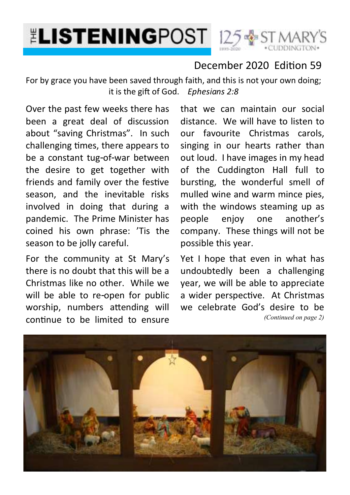



### December 2020 Edition 59

For by grace you have been saved through faith, and this is not your own doing; it is the gift of God. *Ephesians 2:8* 

Over the past few weeks there has been a great deal of discussion about "saving Christmas". In such challenging times, there appears to be a constant tug-of-war between the desire to get together with friends and family over the festive season, and the inevitable risks involved in doing that during a pandemic. The Prime Minister has coined his own phrase: 'Tis the season to be jolly careful.

For the community at St Mary's there is no doubt that this will be a Christmas like no other. While we will be able to re-open for public worship, numbers attending will continue to be limited to ensure

that we can maintain our social distance. We will have to listen to our favourite Christmas carols, singing in our hearts rather than out loud. I have images in my head of the Cuddington Hall full to bursting, the wonderful smell of mulled wine and warm mince pies, with the windows steaming up as people enjoy one another's company. These things will not be possible this year.

Yet I hope that even in what has undoubtedly been a challenging year, we will be able to appreciate a wider perspective. At Christmas we celebrate God's desire to be *(Continued on page 2)*

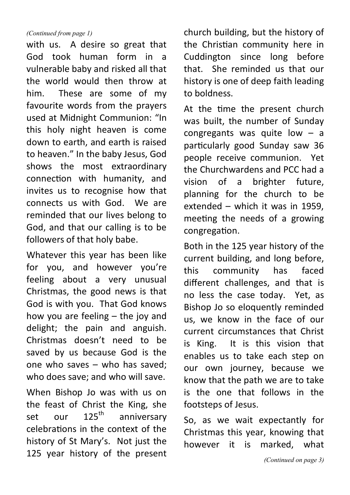#### *(Continued from page 1)*

with us. A desire so great that God took human form in a vulnerable baby and risked all that the world would then throw at him. These are some of my favourite words from the prayers used at Midnight Communion: "In this holy night heaven is come down to earth, and earth is raised to heaven." In the baby Jesus, God shows the most extraordinary connection with humanity, and invites us to recognise how that connects us with God. We are reminded that our lives belong to God, and that our calling is to be followers of that holy babe.

Whatever this year has been like for you, and however you're feeling about a very unusual Christmas, the good news is that God is with you. That God knows how you are feeling – the joy and delight; the pain and anguish. Christmas doesn't need to be saved by us because God is the one who saves – who has saved; who does save; and who will save.

When Bishop Jo was with us on the feast of Christ the King, she<br>set our  $125<sup>th</sup>$  anniversary set our 125<sup>th</sup> anniversary celebrations in the context of the history of St Mary's. Not just the 125 year history of the present church building, but the history of the Christian community here in Cuddington since long before that. She reminded us that our history is one of deep faith leading to boldness.

At the time the present church was built, the number of Sunday congregants was quite low – a particularly good Sunday saw 36 people receive communion. Yet the Churchwardens and PCC had a vision of a brighter future, planning for the church to be extended – which it was in 1959, meeting the needs of a growing congregation.

Both in the 125 year history of the current building, and long before, this community has faced different challenges, and that is no less the case today. Yet, as Bishop Jo so eloquently reminded us, we know in the face of our current circumstances that Christ is King. It is this vision that enables us to take each step on our own journey, because we know that the path we are to take is the one that follows in the footsteps of Jesus.

So, as we wait expectantly for Christmas this year, knowing that however it is marked, what

*(Continued on page 3)*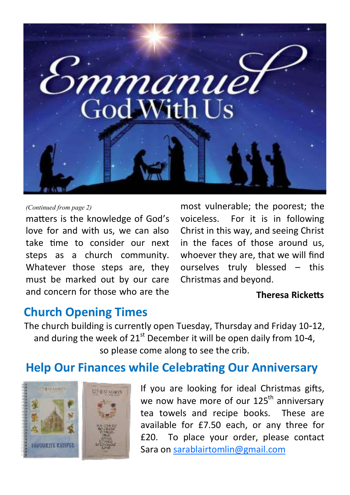

#### *(Continued from page 2)*

matters is the knowledge of God's love for and with us, we can also take time to consider our next steps as a church community. Whatever those steps are, they must be marked out by our care and concern for those who are the

most vulnerable; the poorest; the voiceless. For it is in following Christ in this way, and seeing Christ in the faces of those around us, whoever they are, that we will find ourselves truly blessed – this Christmas and beyond.

#### **Theresa Ricketts**

## **Church Opening Times**

The church building is currently open Tuesday, Thursday and Friday 10-12, and during the week of  $21<sup>st</sup>$  December it will be open daily from 10-4, so please come along to see the crib.

## **Help Our Finances while Celebrating Our Anniversary**



If you are looking for ideal Christmas gifts, we now have more of our 125<sup>th</sup> anniversary tea towels and recipe books. These are available for £7.50 each, or any three for £20. To place your order, please contact Sara on [sarablairtomlin@gmail.com](mailto:sarablairtomlin@gmail.com)